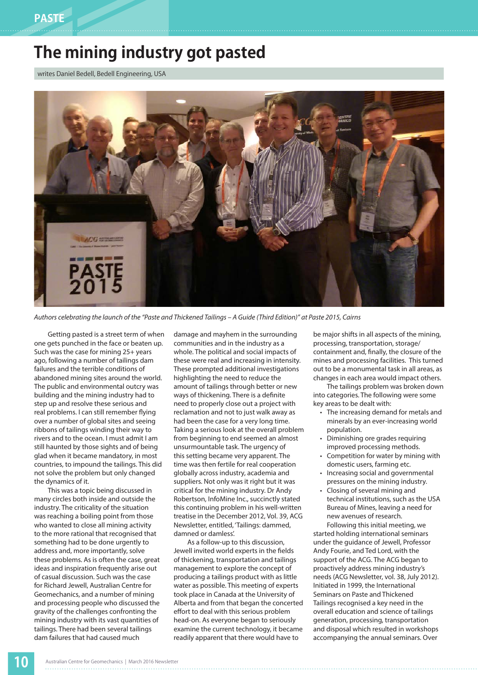## **The mining industry got pasted**

writes Daniel Bedell, Bedell Engineering, USA



*Authors celebrating the launch of the "Paste and Thickened Tailings – A Guide (Third Edition)" at Paste 2015, Cairns*

Getting pasted is a street term of when one gets punched in the face or beaten up. Such was the case for mining 25+ years ago, following a number of tailings dam failures and the terrible conditions of abandoned mining sites around the world. The public and environmental outcry was building and the mining industry had to step up and resolve these serious and real problems. I can still remember flying over a number of global sites and seeing ribbons of tailings winding their way to rivers and to the ocean. I must admit I am still haunted by those sights and of being glad when it became mandatory, in most countries, to impound the tailings. This did not solve the problem but only changed the dynamics of it.

This was a topic being discussed in many circles both inside and outside the industry. The criticality of the situation was reaching a boiling point from those who wanted to close all mining activity to the more rational that recognised that something had to be done urgently to address and, more importantly, solve these problems. As is often the case, great ideas and inspiration frequently arise out of casual discussion. Such was the case for Richard Jewell, Australian Centre for Geomechanics, and a number of mining and processing people who discussed the gravity of the challenges confronting the mining industry with its vast quantities of tailings. There had been several tailings dam failures that had caused much

damage and mayhem in the surrounding communities and in the industry as a whole. The political and social impacts of these were real and increasing in intensity. These prompted additional investigations highlighting the need to reduce the amount of tailings through better or new ways of thickening. There is a definite need to properly close out a project with reclamation and not to just walk away as had been the case for a very long time. Taking a serious look at the overall problem from beginning to end seemed an almost unsurmountable task. The urgency of this setting became very apparent. The time was then fertile for real cooperation globally across industry, academia and suppliers. Not only was it right but it was critical for the mining industry. Dr Andy Robertson, InfoMine Inc., succinctly stated this continuing problem in his well-written treatise in the December 2012, Vol. 39, ACG Newsletter, entitled, 'Tailings: dammed, damned or damless'.

As a follow-up to this discussion, Jewell invited world experts in the fields of thickening, transportation and tailings management to explore the concept of producing a tailings product with as little water as possible. This meeting of experts took place in Canada at the University of Alberta and from that began the concerted effort to deal with this serious problem head-on. As everyone began to seriously examine the current technology, it became readily apparent that there would have to

be major shifts in all aspects of the mining, processing, transportation, storage/ containment and, finally, the closure of the mines and processing facilities. This turned out to be a monumental task in all areas, as changes in each area would impact others.

The tailings problem was broken down into categories. The following were some key areas to be dealt with:

- The increasing demand for metals and minerals by an ever-increasing world population.
- Diminishing ore grades requiring improved processing methods.
- Competition for water by mining with domestic users, farming etc.
- Increasing social and governmental pressures on the mining industry.
- Closing of several mining and technical institutions, such as the USA Bureau of Mines, leaving a need for new avenues of research. Following this initial meeting, we

started holding international seminars under the guidance of Jewell, Professor Andy Fourie, and Ted Lord, with the support of the ACG. The ACG began to proactively address mining industry's needs (ACG Newsletter, vol. 38, July 2012). Initiated in 1999, the International Seminars on Paste and Thickened Tailings recognised a key need in the overall education and science of tailings generation, processing, transportation and disposal which resulted in workshops accompanying the annual seminars. Over